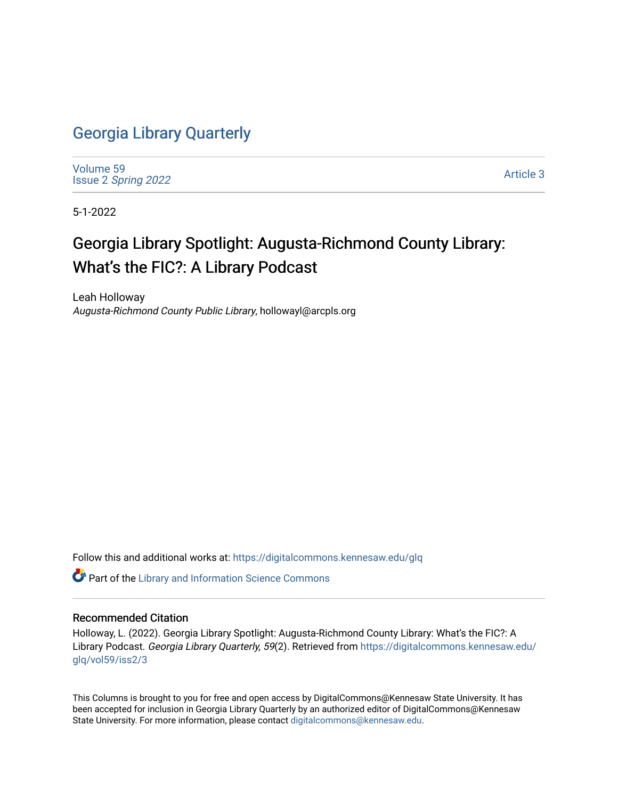## [Georgia Library Quarterly](https://digitalcommons.kennesaw.edu/glq)

[Volume 59](https://digitalcommons.kennesaw.edu/glq/vol59) Issue 2 [Spring 2022](https://digitalcommons.kennesaw.edu/glq/vol59/iss2) 

[Article 3](https://digitalcommons.kennesaw.edu/glq/vol59/iss2/3) 

5-1-2022

# Georgia Library Spotlight: Augusta-Richmond County Library: What's the FIC?: A Library Podcast

Leah Holloway Augusta-Richmond County Public Library, hollowayl@arcpls.org

Follow this and additional works at: [https://digitalcommons.kennesaw.edu/glq](https://digitalcommons.kennesaw.edu/glq?utm_source=digitalcommons.kennesaw.edu%2Fglq%2Fvol59%2Fiss2%2F3&utm_medium=PDF&utm_campaign=PDFCoverPages) 

Part of the [Library and Information Science Commons](http://network.bepress.com/hgg/discipline/1018?utm_source=digitalcommons.kennesaw.edu%2Fglq%2Fvol59%2Fiss2%2F3&utm_medium=PDF&utm_campaign=PDFCoverPages) 

#### Recommended Citation

Holloway, L. (2022). Georgia Library Spotlight: Augusta-Richmond County Library: What's the FIC?: A Library Podcast. Georgia Library Quarterly, 59(2). Retrieved from [https://digitalcommons.kennesaw.edu/](https://digitalcommons.kennesaw.edu/glq/vol59/iss2/3?utm_source=digitalcommons.kennesaw.edu%2Fglq%2Fvol59%2Fiss2%2F3&utm_medium=PDF&utm_campaign=PDFCoverPages) [glq/vol59/iss2/3](https://digitalcommons.kennesaw.edu/glq/vol59/iss2/3?utm_source=digitalcommons.kennesaw.edu%2Fglq%2Fvol59%2Fiss2%2F3&utm_medium=PDF&utm_campaign=PDFCoverPages)

This Columns is brought to you for free and open access by DigitalCommons@Kennesaw State University. It has been accepted for inclusion in Georgia Library Quarterly by an authorized editor of DigitalCommons@Kennesaw State University. For more information, please contact [digitalcommons@kennesaw.edu.](mailto:digitalcommons@kennesaw.edu)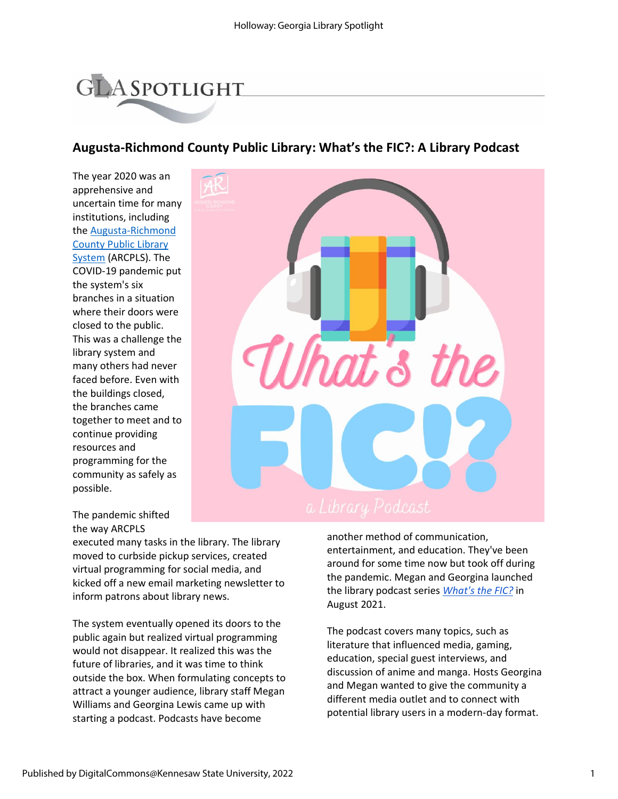# **GLA SPOTLIGHT**

### **Augusta-Richmond County Public Library: What's the FIC?: A Library Podcast**

The year 2020 was an apprehensive and uncertain time for many institutions, including th[e Augusta-Richmond](https://arcpls.org/)  [County Public Library](https://arcpls.org/)  [System](https://arcpls.org/) (ARCPLS). The COVID-19 pandemic put the system's six branches in a situation where their doors were closed to the public. This was a challenge the library system and many others had never faced before. Even with the buildings closed, the branches came together to meet and to continue providing resources and programming for the community as safely as possible.



The pandemic shifted the way ARCPLS

executed many tasks in the library. The library moved to curbside pickup services, created virtual programming for social media, and kicked off a new email marketing newsletter to inform patrons about library news.

The system eventually opened its doors to the public again but realized virtual programming would not disappear. It realized this was the future of libraries, and it was time to think outside the box. When formulating concepts to attract a younger audience, library staff Megan Williams and Georgina Lewis came up with starting a podcast. Podcasts have become

another method of communication, entertainment, and education. They've been around for some time now but took off during the pandemic. Megan and Georgina launched the library podcast series *[What's the FIC?](https://arcpls.org/whats-the-fic-a-library-podcast/)* in August 2021.

The podcast covers many topics, such as literature that influenced media, gaming, education, special guest interviews, and discussion of anime and manga. Hosts Georgina and Megan wanted to give the community a different media outlet and to connect with potential library users in a modern-day format.